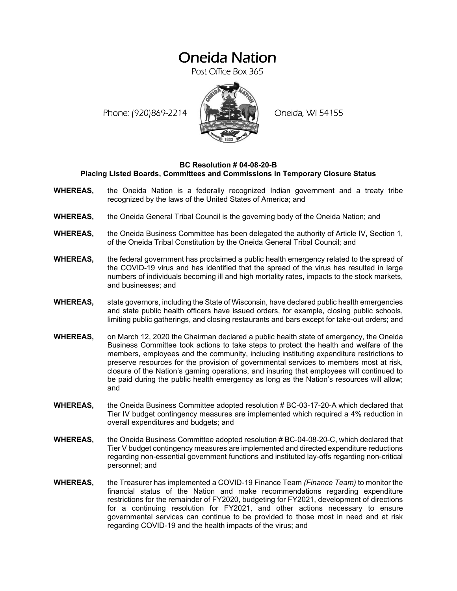# Oneida Nation

Post Office Box 365

Phone: (920)869-2214 (XXXXXXX) Oneida, WI 54155



#### **BC Resolution # 04-08-20-B Placing Listed Boards, Committees and Commissions in Temporary Closure Status**

- **WHEREAS,** the Oneida Nation is a federally recognized Indian government and a treaty tribe recognized by the laws of the United States of America; and
- **WHEREAS,** the Oneida General Tribal Council is the governing body of the Oneida Nation; and
- **WHEREAS,** the Oneida Business Committee has been delegated the authority of Article IV, Section 1, of the Oneida Tribal Constitution by the Oneida General Tribal Council; and
- **WHEREAS,** the federal government has proclaimed a public health emergency related to the spread of the COVID-19 virus and has identified that the spread of the virus has resulted in large numbers of individuals becoming ill and high mortality rates, impacts to the stock markets, and businesses; and
- **WHEREAS,** state governors, including the State of Wisconsin, have declared public health emergencies and state public health officers have issued orders, for example, closing public schools, limiting public gatherings, and closing restaurants and bars except for take-out orders; and
- **WHEREAS,** on March 12, 2020 the Chairman declared a public health state of emergency, the Oneida Business Committee took actions to take steps to protect the health and welfare of the members, employees and the community, including instituting expenditure restrictions to preserve resources for the provision of governmental services to members most at risk, closure of the Nation's gaming operations, and insuring that employees will continued to be paid during the public health emergency as long as the Nation's resources will allow; and
- **WHEREAS,** the Oneida Business Committee adopted resolution # BC-03-17-20-A which declared that Tier IV budget contingency measures are implemented which required a 4% reduction in overall expenditures and budgets; and
- **WHEREAS,** the Oneida Business Committee adopted resolution # BC-04-08-20-C, which declared that Tier V budget contingency measures are implemented and directed expenditure reductions regarding non-essential government functions and instituted lay-offs regarding non-critical personnel; and
- **WHEREAS,** the Treasurer has implemented a COVID-19 Finance Team *(Finance Team)* to monitor the financial status of the Nation and make recommendations regarding expenditure restrictions for the remainder of FY2020, budgeting for FY2021, development of directions for a continuing resolution for FY2021, and other actions necessary to ensure governmental services can continue to be provided to those most in need and at risk regarding COVID-19 and the health impacts of the virus; and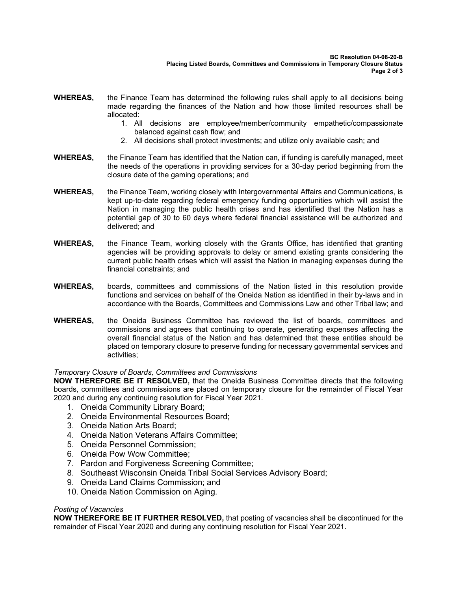- **WHEREAS,** the Finance Team has determined the following rules shall apply to all decisions being made regarding the finances of the Nation and how those limited resources shall be allocated:
	- 1. All decisions are employee/member/community empathetic/compassionate balanced against cash flow; and
	- 2. All decisions shall protect investments; and utilize only available cash; and
- **WHEREAS,** the Finance Team has identified that the Nation can, if funding is carefully managed, meet the needs of the operations in providing services for a 30-day period beginning from the closure date of the gaming operations; and
- **WHEREAS,** the Finance Team, working closely with Intergovernmental Affairs and Communications, is kept up-to-date regarding federal emergency funding opportunities which will assist the Nation in managing the public health crises and has identified that the Nation has a potential gap of 30 to 60 days where federal financial assistance will be authorized and delivered; and
- **WHEREAS,** the Finance Team, working closely with the Grants Office, has identified that granting agencies will be providing approvals to delay or amend existing grants considering the current public health crises which will assist the Nation in managing expenses during the financial constraints; and
- **WHEREAS,** boards, committees and commissions of the Nation listed in this resolution provide functions and services on behalf of the Oneida Nation as identified in their by-laws and in accordance with the Boards, Committees and Commissions Law and other Tribal law; and
- **WHEREAS,** the Oneida Business Committee has reviewed the list of boards, committees and commissions and agrees that continuing to operate, generating expenses affecting the overall financial status of the Nation and has determined that these entities should be placed on temporary closure to preserve funding for necessary governmental services and activities;

### *Temporary Closure of Boards, Committees and Commissions*

**NOW THEREFORE BE IT RESOLVED,** that the Oneida Business Committee directs that the following boards, committees and commissions are placed on temporary closure for the remainder of Fiscal Year 2020 and during any continuing resolution for Fiscal Year 2021.

- 1. Oneida Community Library Board;
- 2. Oneida Environmental Resources Board;
- 3. Oneida Nation Arts Board;
- 4. Oneida Nation Veterans Affairs Committee;
- 5. Oneida Personnel Commission;
- 6. Oneida Pow Wow Committee;
- 7. Pardon and Forgiveness Screening Committee;
- 8. Southeast Wisconsin Oneida Tribal Social Services Advisory Board;
- 9. Oneida Land Claims Commission; and
- 10. Oneida Nation Commission on Aging.

#### *Posting of Vacancies*

**NOW THEREFORE BE IT FURTHER RESOLVED,** that posting of vacancies shall be discontinued for the remainder of Fiscal Year 2020 and during any continuing resolution for Fiscal Year 2021.